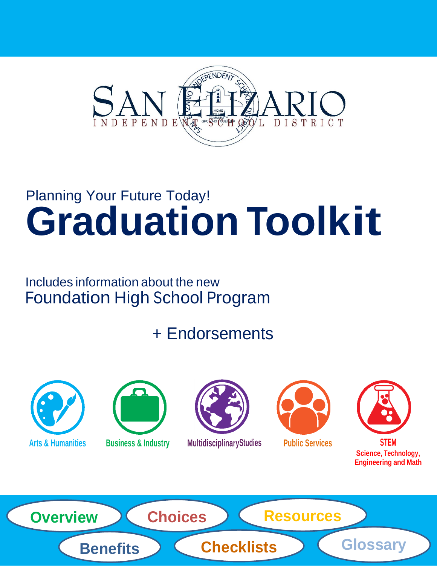

## Planning Your Future Today! **Graduation Toolkit**

### Includes information about the new Foundation High School Program

## + Endorsements







**Arts & Humanities Business & Industry MultidisciplinaryStudies Public Services STEM**





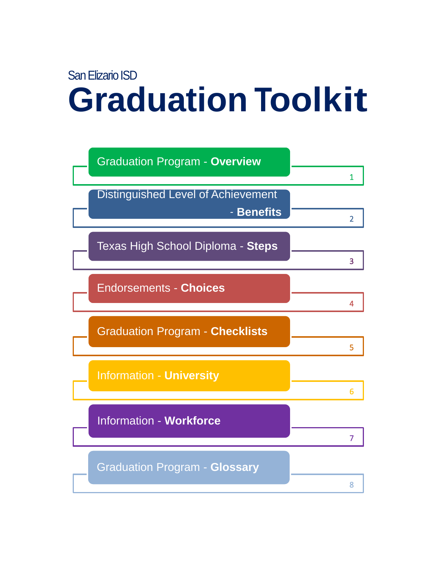## San Elizario ISD **Graduation Toolkit**

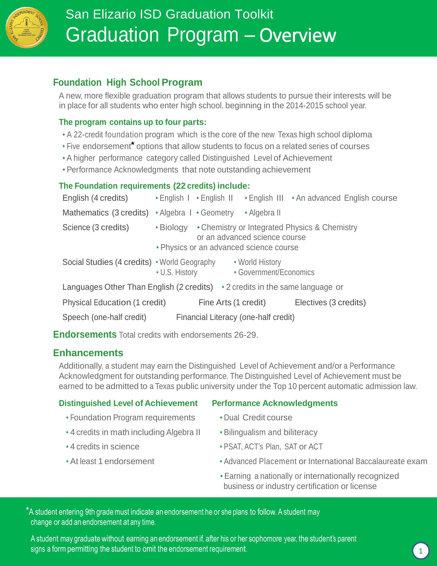

### **Foundation High School Program**

A new, more flexible graduation program that allows students to pursue their interests will be in place for all students who enter high school, beginning in the 2014-2015 school year.

#### **The program contains up to four parts:**

- A 22-credit foundation program which is the core of the new Texas high school diploma
- Five endorsement**\*** options that allow students to focus on a related series of courses
- A higher performance category called Distinguished Level of Achievement
- Performance Acknowledgments that note outstanding achievement

#### **The Foundation requirements (22 credits) include:**

| English (4 credits)                                                                |                                                                                                                                              |                        |                                           | • English I • English II • English III • An advanced English course |  |
|------------------------------------------------------------------------------------|----------------------------------------------------------------------------------------------------------------------------------------------|------------------------|-------------------------------------------|---------------------------------------------------------------------|--|
| Mathematics (3 credits)                                                            |                                                                                                                                              | • Algebra I • Geometry | • Algebra II                              |                                                                     |  |
| Science (3 credits)                                                                | • Chemistry or Integrated Physics & Chemistry<br>$\cdot$ Biology<br>or an advanced science course<br>• Physics or an advanced science course |                        |                                           |                                                                     |  |
| Social Studies (4 credits) • World Geography                                       | • U.S. History                                                                                                                               |                        | • World History<br>• Government/Economics |                                                                     |  |
| Languages Other Than English (2 credits) $\cdot$ 2 credits in the same language or |                                                                                                                                              |                        |                                           |                                                                     |  |
| Physical Education (1 credit)                                                      |                                                                                                                                              | Fine Arts (1 credit)   |                                           | Electives (3 credits)                                               |  |
| Speech (one-half credit)                                                           | Financial Literacy (one-half credit)                                                                                                         |                        |                                           |                                                                     |  |

**Endorsements** Total credits with endorsements 26-29.

### **Enhancements**

Additionally, a student may earn the Distinguished Level of Achievement and/or a Performance Acknowledgment for outstanding performance. The Distinguished Level of Achievement must be earned to be admitted to a Texas public university under the Top 10 percent automatic admission law.

### **Distinguished Level of Achievement Performance Acknowledgments**

- Foundation Program requirements Dual Credit course
- 4 credits in math including Algebra II Bilingualism and biliteracy
- 
- 
- 
- 4 credits in science  **PSAT, ACT's Plan, SAT or ACT**
- At least 1 endorsement Advanced Placement or International Baccalaureate exam
	- Earning a nationally or internationally recognized business or industry certification or license

**\***A student entering 9th grademust indicate an endorsement he or she plans to follow. A student may change or add an endorsement at any time.

A student may graduate without earning an endorsement if, after his or her sophomore year, the student'<sup>s</sup> parent signs a form permitting the student to omit the endorsement requirement. 1999 The state of the state of the student of the student of the student of the student of the student of the student of the student of the student o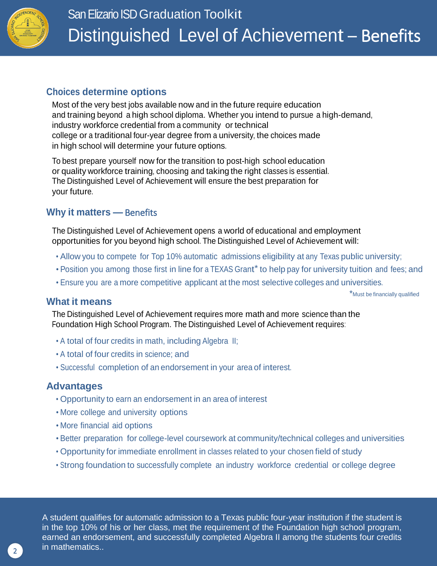

### **Choices determine options**

Most of the very best jobs available now and in the future require education and training beyond a high school diploma. Whether you intend to pursue a high-demand, industry workforce credential from a community or technical college or a traditional four-year degree from a university, the choices made in high school will determine your future options.

To best prepare yourself now for the transition to post-high school education or quality workforce training, choosing and taking the right classes is essential. The Distinguished Level of Achievement will ensure the best preparation for your future.

### **Why it matters —** Benefits

The Distinguished Level of Achievement opens a world of educational and employment opportunities for you beyond high school. The Distinguished Level of Achievement will:

- Allow you to compete for Top 10% automatic admissions eligibility at any Texas public university;
- Position you among those first in line for a TEXAS Grant<sup>\*</sup> to help pay for university tuition and fees; and
- Ensure you are a more competitive applicant at the most selective colleges and universities.

\*Must be financially qualified

### **What it means**

The Distinguished Level of Achievement requires more math and more science than the Foundation High School Program. The Distinguished Level of Achievement requires:

- A total of four credits in math, including Algebra II;
- A total of four credits in science; and
- Successful completion of an endorsement in your area of interest.

### **Advantages**

- Opportunity to earn an endorsement in an area of interest
- More college and university options
- More financial aid options
- Better preparation for college-level coursework at community/technical colleges and universities
- Opportunity for immediate enrollment in classes related to your chosen field of study
- Strong foundation to successfully complete an industry workforce credential or college degree

A student qualifies for automatic admission to a Texas public four-year institution if the student is in the top 10% of his or her class, met the requirement of the Foundation high school program, earned an endorsement, and successfully completed Algebra II among the students four credits in mathematics..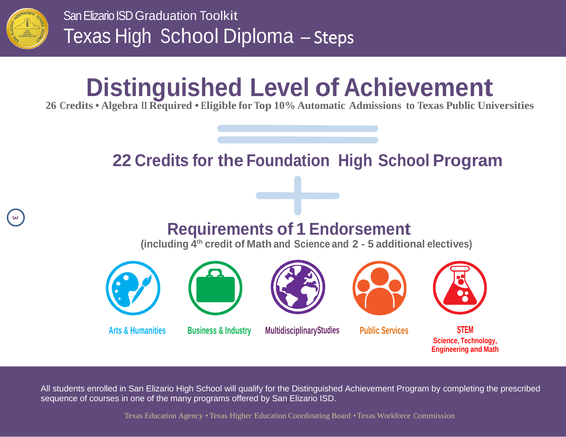

 $\omega$ 

San Elizario ISD Graduation Toolkit Texas High School Diploma – Steps

# **Distinguished Level of Achievement**

**26 Credits • Algebra II Required • Eligible for Top 10% Automatic Admissions to Texas Public Universities**

### **22 Credits for the Foundation High School Program**

### **Requirements of 1 Endorsement**

**(including 4 th credit of Math and Science and 2 - 5 additional electives)**









### **Arts & Humanities Business & Industry MultidisciplinaryStudies Public Services STEM**





**Science, Technology, Engineering and Math**

All students enrolled in San Elizario High School will qualify for the Distinguished Achievement Program by completing the prescribed sequence of courses in one of the many programs offered by San Elizario ISD.

Texas Education Agency • Texas Higher Education Coordinating Board • Texas Workforce Commission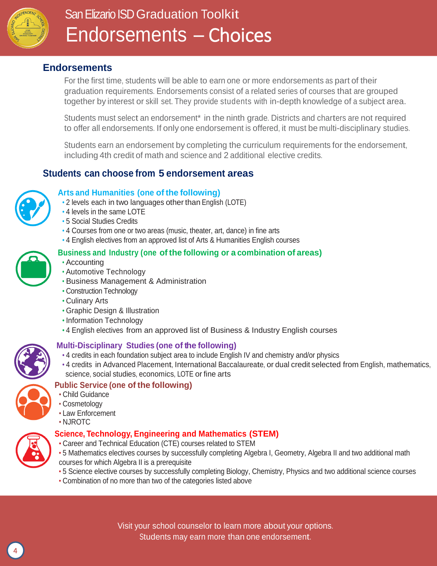

### San Elizario ISD Graduation Toolkit Endorsements – Choices

### **Endorsements**

For the first time, students will be able to earn one or more endorsements as part of their graduation requirements. Endorsements consist of a related series of courses that are grouped together by interest or skill set. They provide students with in-depth knowledge of a subject area.

Students must select an endorsement<sup>\*</sup> in the ninth grade. Districts and charters are not required to offer all endorsements. If only one endorsement is offered, it must be multi-disciplinary studies.

Students earn an endorsement by completing the curriculum requirements for the endorsement, including 4th credit of math and science and 2 additional elective credits.

### **Students can choose from 5 endorsement areas**



#### **Arts and Humanities (one of the following)**

- 2 levels each in two languages other than English (LOTE)
- 4 levels in the same LOTE
- 5 Social Studies Credits
- 4 Courses from one or two areas (music, theater, art, dance) in fine arts
- 4 English electives from an approved list of Arts & Humanities English courses



- Accounting
- Automotive Technology
- Business Management & Administration
- Construction Technology
- Culinary Arts
- Graphic Design & Illustration
- Information Technology
- 4 English electives from an approved list of Business & Industry English courses



#### **Multi-Disciplinary Studies (one of the following)**

- 4 credits in each foundation subject area to include English IV and chemistry and/or physics
- 4 credits in Advanced Placement, International Baccalaureate, or dual credit selected from English, mathematics, science, social studies, economics, LOTE or fine arts

### **Public Service (one of the following)**

- Child Guidance
- Cosmetology
- Law Enforcement
- NJROTC

#### **Science, Technology, Engineering and Mathematics (STEM)**

- Career and Technical Education (CTE) courses related to STEM
- 5 Mathematics electives courses by successfully completing Algebra I, Geometry, Algebra II and two additional math courses for which Algebra II is a prerequisite
- 5 Science elective courses by successfully completing Biology, Chemistry, Physics and two additional science courses
- Combination of no more than two of the categories listed above

Visit your school counselor to learn more about your options. Students may earn more than one endorsement.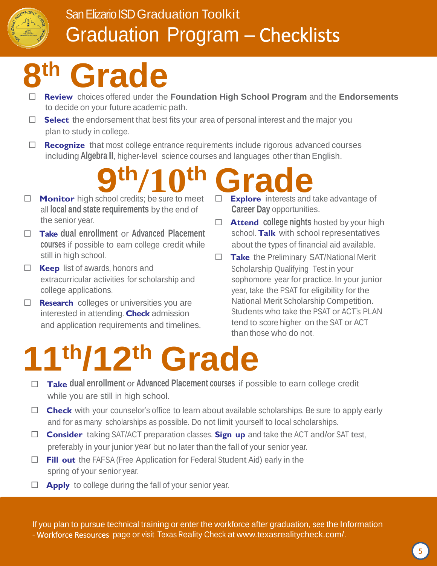

### San Elizario ISD Graduation Toolkit Graduation Program – Checklists

### **8 th Grade**

- **Review** choices offered under the **Foundation High School Program** and the **Endorsements** to decide on your future academic path.
- □ **Select** the endorsement that best fits your area of personal interest and the major you plan to study in college.
- □ **Recognize** that most college entrance requirements include rigorous advanced courses including **Algebra II**, higher-level science courses and languages other than English.

## **9th/10th th/10th Grade**

- all **local and state requirements** by the end of the senior year.
- **Take dual enrollment** or **Advanced Placement courses** if possible to earn college credit while still in high school.
- **Keep** list of awards, honors and extracurricular activities for scholarship and college applications.
- **Research** colleges or universities you are interested in attending. **Check** admission and application requirements and timelines.
- **Explore** interests and take advantage of **Career Day** opportunities.
- **Attend college nights** hosted by your high school. **Talk** with school representatives about the types of financial aid available.
- **Take** the Preliminary SAT/National Merit Scholarship Qualifying Test in your sophomore year for practice. In your junior year, take the PSAT for eligibility for the National Merit Scholarship Competition. Students who take the PSAT or ACT's PLAN tend to score higher on the SAT or ACT than those who do not.

# **11th/12th Grade**

- **Take dual enrollment** or **Advanced Placement courses** if possible to earn college credit while you are still in high school.
- □ Check with your counselor's office to learn about available scholarships. Be sure to apply early and for as many scholarships as possible. Do not limit yourself to local scholarships.
- **Consider** taking SAT/ACT preparation classes. **Sign up** and take the ACT and/or SAT test, preferably in your junior year but no later than the fall of your senior year.
- **Fill out** the FAFSA (Free Application for Federal Student Aid) early in the spring of your senior year.
- **Apply** to college during the fall of your senior year.

If you plan to pursue technical training or enter the workforce after graduation, see the Information - Workforce Resources page or visit Texas Reality Check at [www.texasrealitycheck.com/.](http://www.texasrealitycheck.com/)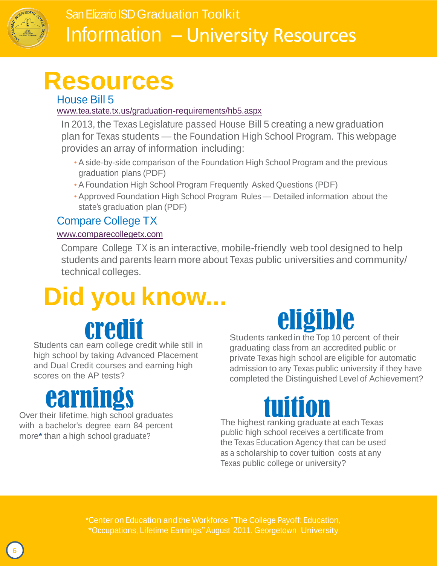

## **Resources**

### House Bill 5

[www.tea.state.tx.us/graduation-requirements/hb5.aspx](http://www.tea.state.tx.us/graduation-requirements/hb5.aspx)

In 2013, the Texas Legislature passed House Bill 5 creating a new graduation plan for Texas students — the Foundation High School Program. This webpage provides an array of information including:

- A side-by-side comparison of the Foundation High School Program and the previous graduation plans (PDF)
- A Foundation High School Program Frequently Asked Questions (PDF)
- Approved Foundation High School Program Rules Detailed information about the state's graduation plan (PDF)

### Compare College TX

### [www.comparecollegetx.com](http://www.comparecollegetx.com/)

Compare College TX is an interactive, mobile-friendly web tool designed to help students and parents learn more about Texas public universities and community/ technical colleges.

# **Did you know...**

Students can earn college credit while still in high school by taking Advanced Placement and Dual Credit courses and earning high



Students ranked in the Top 10 percent of their graduating class from an accredited public or private Texas high school are eligible for automatic admission to any Texas public university if they have completed the Distinguished Level of Achievement?

## earnings

scores on the AP tests?

Over their lifetime, high school graduates with a bachelor's degree earn 84 percent more**\*** than a high school graduate?

The highest ranking graduate at each Texas public high school receives a certificate from the Texas Education Agency that can be used as a scholarship to cover tuition costs at any Texas public college or university?

\*Center on Education and the Workforce,"The College Payoff: Education, \*Occupations, Lifetime Earnings,"August 2011. Georgetown University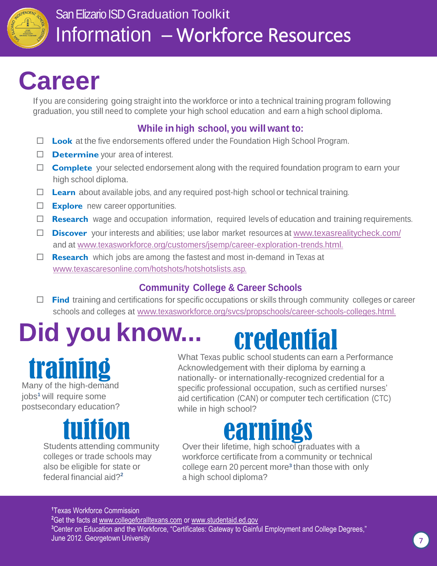

## **Career**

If you are considering going straight into the workforce or into a technical training program following graduation, you still need to complete your high school education and earn a high school diploma.

### **While in high school, you will want to:**

- **Look** at the five endorsements offered under the Foundation High School Program.
- **D Determine** your area of interest.
- □ Complete your selected endorsement along with the required foundation program to earn your high school diploma.
- □ Learn about available jobs, and any required post-high school or technical training.
- **Explore** new career opportunities.
- □ **Research** wage and occupation information, required levels of education and training requirements.
- **Discover** your interests and abilities; use labor market resources at [www.texasrealitycheck.com/](http://www.texasrealitycheck.com/) and at [www.texasworkforce.org/customers/jsemp/career-exploration-trends.html.](http://www.texasworkforce.org/customers/jsemp/career-exploration-trends.html)
- □ **Research** which jobs are among the fastest and most in-demand in Texas at [www.texascaresonline.com/hotshots/hotshotslists.asp.](http://www.texascaresonline.com/hotshots/hotshotslists.asp)

### **Community College & Career Schools**

**□ Find** training and certifications for specific occupations or skills through community colleges or career schools and colleges at [www.texasworkforce.org/svcs/propschools/career-schools-colleges.html.](http://www.texasworkforce.org/svcs/propschools/career-schools-colleges.html)

# **Did you know...** credential

training Many of the high-demand

jobs**<sup>1</sup>** will require some postsecondary education?

Students attending community colleges or trade schools may also be eligible for state or federal financial aid?**<sup>2</sup>**

What Texas public school students can earn a Performance Acknowledgement with their diploma by earning a nationally- or internationally-recognized credential for a specific professional occupation, such as certified nurses' aid certification (CAN) or computer tech certification (CTC) while in high school?

## earnings

Over their lifetime, high school graduates with a workforce certificate from a community or technical college earn 20 percent more<sup>3</sup> than those with only a high school diploma?

Texas Workforce Commission Get the facts at [www.collegeforalltexans.com](http://www.collegeforalltexans.com/) or [www.studentaid.ed.gov](http://www.studentaid.ed.gov/) Center on Education and the Workforce, "Certificates: Gateway to Gainful Employment and College Degrees," June 2012. Georgetown University 7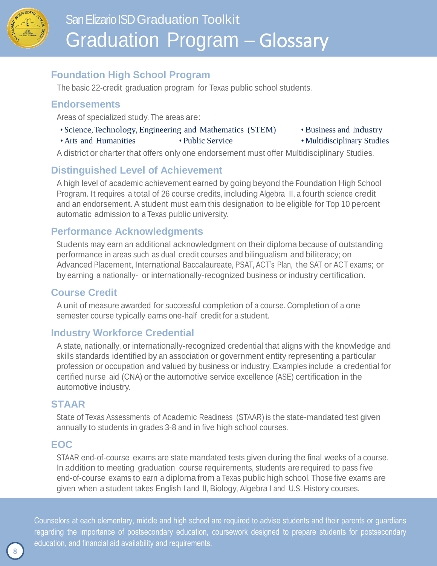

### **Foundation High School Program**

The basic 22-credit graduation program for Texas public school students.

### **Endorsements**

Areas of specialized study. The areas are:

- Science, Technology, Engineering and Mathematics (STEM) Business and Industry
	-
- Arts and Humanities Public Service Multidisciplinary Studies

A district or charter that offers only one endorsement must offer Multidisciplinary Studies.

### **Distinguished Level of Achievement**

A high level of academic achievement earned by going beyond the Foundation High School Program. It requires a total of 26 course credits, including Algebra II, a fourth science credit and an endorsement. A student must earn this designation to be eligible for Top 10 percent automatic admission to a Texas public university.

### **Performance Acknowledgments**

Students may earn an additional acknowledgment on their diploma because of outstanding performance in areas such as dual credit courses and bilingualism and biliteracy; on Advanced Placement, International Baccalaureate, PSAT, ACT's Plan, the SAT or ACT exams; or by earning a nationally- or internationally-recognized business or industry certification.

### **Course Credit**

A unit of measure awarded for successful completion of a course. Completion of a one semester course typically earns one-half credit for a student.

### **Industry Workforce Credential**

A state, nationally, or internationally-recognized credential that aligns with the knowledge and skills standards identified by an association or government entity representing a particular profession or occupation and valued by business or industry. Examples include a credential for certified nurse aid (CNA) or the automotive service excellence (ASE) certification in the automotive industry.

### **STAAR**

State of Texas Assessments of Academic Readiness (STAAR) is the state-mandated test given annually to students in grades 3-8 and in five high school courses.

### **EOC**

STAAR end-of-course exams are state mandated tests given during the final weeks of a course. In addition to meeting graduation course requirements, students are required to pass five end-of-course exams to earn a diploma from a Texas public high school. Those five exams are given when a student takes English I and II, Biology, Algebra I and U.S. History courses.

Counselors at each elementary, middle and high school are required to advise students and their parents or guardians regarding the importance of postsecondary education, coursework designed to prepare students for postsecondary education, and financial aid availability and requirements.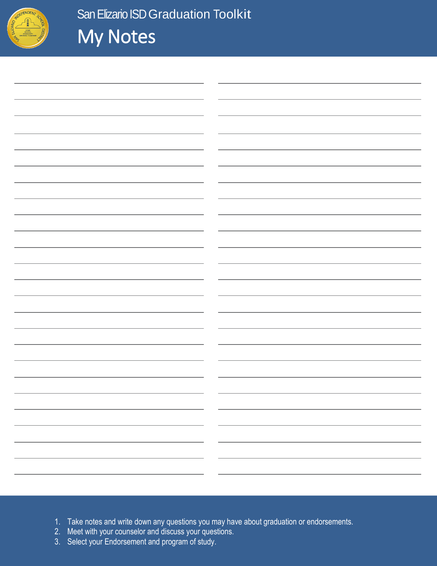

| $\overline{\phantom{0}}$ |  |
|--------------------------|--|
|                          |  |
|                          |  |
|                          |  |
|                          |  |
|                          |  |
|                          |  |
|                          |  |
|                          |  |
| $\overline{\phantom{0}}$ |  |
|                          |  |
|                          |  |
|                          |  |
|                          |  |
|                          |  |
|                          |  |
|                          |  |
|                          |  |
|                          |  |
|                          |  |
|                          |  |
|                          |  |
|                          |  |
|                          |  |
|                          |  |
|                          |  |
|                          |  |
|                          |  |
|                          |  |
|                          |  |
| $ -$                     |  |
|                          |  |
|                          |  |
|                          |  |
|                          |  |
|                          |  |
|                          |  |
|                          |  |
|                          |  |

- 1. Take notes and write down any questions you may have about graduation or endorsements.
- 2. Meet with your counselor and discuss your questions.
- 2. Meet with your counselor and discuss your questions.<br>3. Select your Endorsement and program of study.